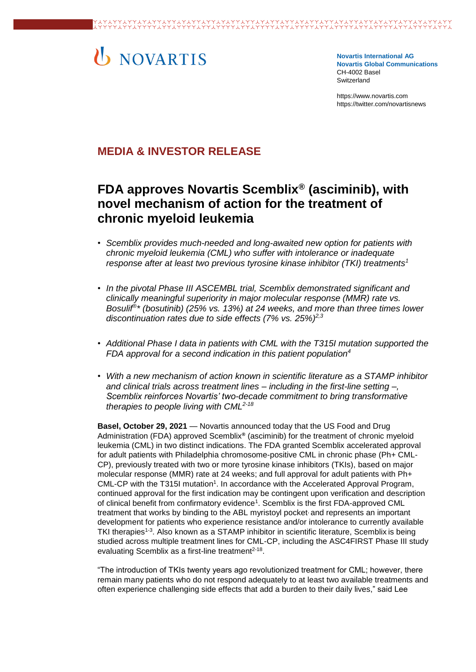# U NOVARTIS

**Novartis International AG Novartis Global Communications**  CH-4002 Basel Switzerland

[https://www.novartis.com](https://www.novartis.com/) https://twitter.com/novartisnews

# **MEDIA & INVESTOR RELEASE**

# **FDA approves Novartis Scemblix® (asciminib), with novel mechanism of action for the treatment of chronic myeloid leukemia**

- *Scemblix provides much-needed and long-awaited new option for patients with chronic myeloid leukemia (CML) who suffer with intolerance or inadequate response after at least two previous tyrosine kinase inhibitor (TKI) treatments<sup>1</sup>*
- *In the pivotal Phase III ASCEMBL trial, Scemblix demonstrated significant and clinically meaningful superiority in major molecular response (MMR) rate vs. Bosulif® \* (bosutinib) (25% vs. 13%) at 24 weeks, and more than three times lower discontinuation rates due to side effects (7% vs. 25%)2,3*
- *Additional Phase I data in patients with CML with the T315I mutation supported the FDA approval for a second indication in this patient population<sup>4</sup>*
- *With a new mechanism of action known in scientific literature as a STAMP inhibitor and clinical trials across treatment lines – including in the first-line setting –, Scemblix reinforces Novartis' two-decade commitment to bring transformative therapies to people living with CML2-18*

**Basel, October 29, 2021** — Novartis announced today that the US Food and Drug Administration (FDA) approved Scemblix**®** (asciminib) for the treatment of chronic myeloid leukemia (CML) in two distinct indications. The FDA granted Scemblix accelerated approval for adult patients with Philadelphia chromosome-positive CML in chronic phase (Ph+ CML-CP), previously treated with two or more tyrosine kinase inhibitors (TKIs), based on major molecular response (MMR) rate at 24 weeks; and full approval for adult patients with Ph+ CML-CP with the T315I mutation<sup>1</sup>. In accordance with the Accelerated Approval Program, continued approval for the first indication may be contingent upon verification and description of clinical benefit from confirmatory evidence<sup>1</sup> . Scemblix is the first FDA-approved CML treatment that works by binding to the ABL myristoyl pocket, and represents an important development for patients who experience resistance and/or intolerance to currently available TKI therapies<sup>1-3</sup>. Also known as a STAMP inhibitor in scientific literature, Scemblix is being studied across multiple treatment lines for CML-CP, including the ASC4FIRST Phase III study evaluating Scemblix as a first-line treatment<sup>2-18</sup>.

"The introduction of TKIs twenty years ago revolutionized treatment for CML; however, there remain many patients who do not respond adequately to at least two available treatments and often experience challenging side effects that add a burden to their daily lives," said Lee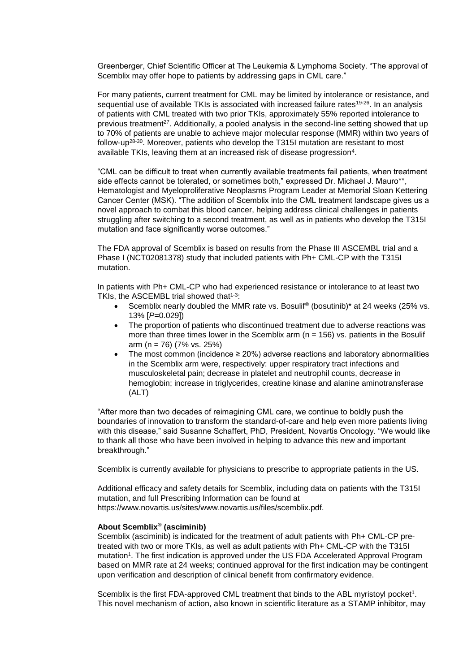Greenberger, Chief Scientific Officer at The Leukemia & Lymphoma Society. "The approval of Scemblix may offer hope to patients by addressing gaps in CML care."

For many patients, current treatment for CML may be limited by intolerance or resistance, and sequential use of available TKIs is associated with increased failure rates<sup>19-26</sup>. In an analysis of patients with CML treated with two prior TKIs, approximately 55% reported intolerance to previous treatment<sup>27</sup>. Additionally, a pooled analysis in the second-line setting showed that up to 70% of patients are unable to achieve major molecular response (MMR) within two years of follow-up28-30. Moreover, patients who develop the T315I mutation are resistant to most available TKIs, leaving them at an increased risk of disease progression<sup>4</sup>.

"CML can be difficult to treat when currently available treatments fail patients, when treatment side effects cannot be tolerated, or sometimes both," expressed Dr. Michael J. Mauro\*\*, Hematologist and Myeloproliferative Neoplasms Program Leader at Memorial Sloan Kettering Cancer Center (MSK). "The addition of Scemblix into the CML treatment landscape gives us a novel approach to combat this blood cancer, helping address clinical challenges in patients struggling after switching to a second treatment, as well as in patients who develop the T315I mutation and face significantly worse outcomes."

The FDA approval of Scemblix is based on results from the Phase III ASCEMBL trial and a Phase I (NCT02081378) study that included patients with Ph+ CML-CP with the T315I mutation.

In patients with Ph+ CML-CP who had experienced resistance or intolerance to at least two TKIs, the ASCEMBL trial showed that<sup>1-3</sup>:

- Scemblix nearly doubled the MMR rate vs. Bosulif<sup>®</sup> (bosutinib)<sup>\*</sup> at 24 weeks (25% vs. 13% [*P=*0.029])
- The proportion of patients who discontinued treatment due to adverse reactions was more than three times lower in the Scemblix arm  $(n = 156)$  vs. patients in the Bosulif arm (n = 76) (7% vs. 25%)
- The most common (incidence ≥ 20%) adverse reactions and laboratory abnormalities in the Scemblix arm were, respectively: upper respiratory tract infections and musculoskeletal pain; decrease in platelet and neutrophil counts, decrease in hemoglobin; increase in triglycerides, creatine kinase and alanine aminotransferase (ALT)

"After more than two decades of reimagining CML care, we continue to boldly push the boundaries of innovation to transform the standard-of-care and help even more patients living with this disease," said Susanne Schaffert, PhD, President, Novartis Oncology. "We would like to thank all those who have been involved in helping to advance this new and important breakthrough."

Scemblix is currently available for physicians to prescribe to appropriate patients in the US.

Additional efficacy and safety details for Scemblix, including data on patients with the T315I mutation, and full Prescribing Information can be found at https://www.novartis.us/sites/www.novartis.us/files/scemblix.pdf.

## **About Scemblix® (asciminib)**

Scemblix (asciminib) is indicated for the treatment of adult patients with Ph+ CML-CP pretreated with two or more TKIs, as well as adult patients with Ph+ CML-CP with the T315I mutation<sup>1</sup>. The first indication is approved under the US FDA Accelerated Approval Program based on MMR rate at 24 weeks; continued approval for the first indication may be contingent upon verification and description of clinical benefit from confirmatory evidence.

Scemblix is the first FDA-approved CML treatment that binds to the ABL myristoyl pocket<sup>1</sup>. This novel mechanism of action, also known in scientific literature as a STAMP inhibitor, may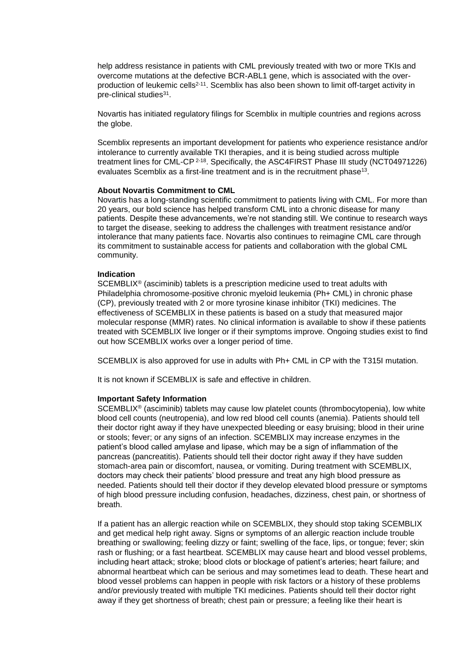help address resistance in patients with CML previously treated with two or more TKIs and overcome mutations at the defective BCR-ABL1 gene, which is associated with the overproduction of leukemic cells<sup>2-11</sup>. Scemblix has also been shown to limit off-target activity in pre-clinical studies<sup>31</sup>.

Novartis has initiated regulatory filings for Scemblix in multiple countries and regions across the globe.

Scemblix represents an important development for patients who experience resistance and/or intolerance to currently available TKI therapies, and it is being studied across multiple treatment lines for CML-CP<sup>2-18</sup>. Specifically, the ASC4FIRST Phase III study (NCT04971226) evaluates Scemblix as a first-line treatment and is in the recruitment phase<sup>13</sup>.

### **About Novartis Commitment to CML**

Novartis has a long-standing scientific commitment to patients living with CML. For more than 20 years, our bold science has helped transform CML into a chronic disease for many patients. Despite these advancements, we're not standing still. We continue to research ways to target the disease, seeking to address the challenges with treatment resistance and/or intolerance that many patients face. Novartis also continues to reimagine CML care through its commitment to sustainable access for patients and collaboration with the global CML community.

#### **Indication**

SCEMBLIX® (asciminib) tablets is a prescription medicine used to treat adults with Philadelphia chromosome-positive chronic myeloid leukemia (Ph+ CML) in chronic phase (CP), previously treated with 2 or more tyrosine kinase inhibitor (TKI) medicines. The effectiveness of SCEMBLIX in these patients is based on a study that measured major molecular response (MMR) rates. No clinical information is available to show if these patients treated with SCEMBLIX live longer or if their symptoms improve. Ongoing studies exist to find out how SCEMBLIX works over a longer period of time.

SCEMBLIX is also approved for use in adults with Ph+ CML in CP with the T315I mutation.

It is not known if SCEMBLIX is safe and effective in children.

## **Important Safety Information**

SCEMBLIX® (asciminib) tablets may cause low platelet counts (thrombocytopenia), low white blood cell counts (neutropenia), and low red blood cell counts (anemia). Patients should tell their doctor right away if they have unexpected bleeding or easy bruising; blood in their urine or stools; fever; or any signs of an infection. SCEMBLIX may increase enzymes in the patient's blood called amylase and lipase, which may be a sign of inflammation of the pancreas (pancreatitis). Patients should tell their doctor right away if they have sudden stomach-area pain or discomfort, nausea, or vomiting. During treatment with SCEMBLIX, doctors may check their patients' blood pressure and treat any high blood pressure as needed. Patients should tell their doctor if they develop elevated blood pressure or symptoms of high blood pressure including confusion, headaches, dizziness, chest pain, or shortness of breath.

If a patient has an allergic reaction while on SCEMBLIX, they should stop taking SCEMBLIX and get medical help right away. Signs or symptoms of an allergic reaction include trouble breathing or swallowing; feeling dizzy or faint; swelling of the face, lips, or tongue; fever; skin rash or flushing; or a fast heartbeat. SCEMBLIX may cause heart and blood vessel problems, including heart attack; stroke; blood clots or blockage of patient's arteries; heart failure; and abnormal heartbeat which can be serious and may sometimes lead to death. These heart and blood vessel problems can happen in people with risk factors or a history of these problems and/or previously treated with multiple TKI medicines. Patients should tell their doctor right away if they get shortness of breath; chest pain or pressure; a feeling like their heart is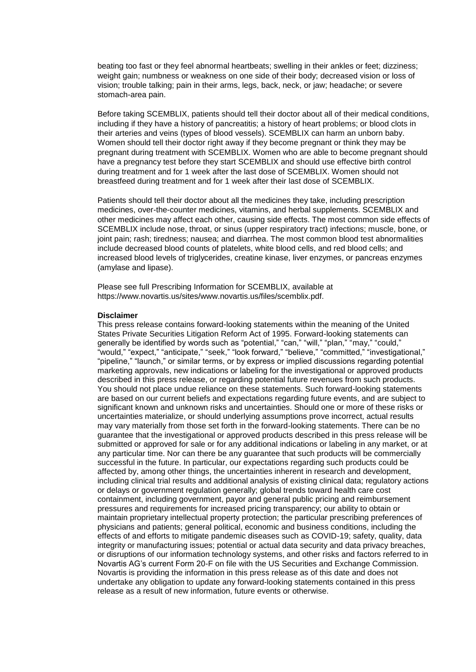beating too fast or they feel abnormal heartbeats; swelling in their ankles or feet; dizziness; weight gain; numbness or weakness on one side of their body; decreased vision or loss of vision; trouble talking; pain in their arms, legs, back, neck, or jaw; headache; or severe stomach-area pain.

Before taking SCEMBLIX, patients should tell their doctor about all of their medical conditions, including if they have a history of pancreatitis; a history of heart problems; or blood clots in their arteries and veins (types of blood vessels). SCEMBLIX can harm an unborn baby. Women should tell their doctor right away if they become pregnant or think they may be pregnant during treatment with SCEMBLIX. Women who are able to become pregnant should have a pregnancy test before they start SCEMBLIX and should use effective birth control during treatment and for 1 week after the last dose of SCEMBLIX. Women should not breastfeed during treatment and for 1 week after their last dose of SCEMBLIX.

Patients should tell their doctor about all the medicines they take, including prescription medicines, over-the-counter medicines, vitamins, and herbal supplements. SCEMBLIX and other medicines may affect each other, causing side effects. The most common side effects of SCEMBLIX include nose, throat, or sinus (upper respiratory tract) infections; muscle, bone, or joint pain; rash; tiredness; nausea; and diarrhea. The most common blood test abnormalities include decreased blood counts of platelets, white blood cells, and red blood cells; and increased blood levels of triglycerides, creatine kinase, liver enzymes, or pancreas enzymes (amylase and lipase).

Please see full Prescribing Information for SCEMBLIX, available at https://www.novartis.us/sites/www.novartis.us/files/scemblix.pdf.

#### **Disclaimer**

This press release contains forward-looking statements within the meaning of the United States Private Securities Litigation Reform Act of 1995. Forward-looking statements can generally be identified by words such as "potential," "can," "will," "plan," "may," "could," "would," "expect," "anticipate," "seek," "look forward," "believe," "committed," "investigational," "pipeline," "launch," or similar terms, or by express or implied discussions regarding potential marketing approvals, new indications or labeling for the investigational or approved products described in this press release, or regarding potential future revenues from such products. You should not place undue reliance on these statements. Such forward-looking statements are based on our current beliefs and expectations regarding future events, and are subject to significant known and unknown risks and uncertainties. Should one or more of these risks or uncertainties materialize, or should underlying assumptions prove incorrect, actual results may vary materially from those set forth in the forward-looking statements. There can be no guarantee that the investigational or approved products described in this press release will be submitted or approved for sale or for any additional indications or labeling in any market, or at any particular time. Nor can there be any guarantee that such products will be commercially successful in the future. In particular, our expectations regarding such products could be affected by, among other things, the uncertainties inherent in research and development, including clinical trial results and additional analysis of existing clinical data; regulatory actions or delays or government regulation generally; global trends toward health care cost containment, including government, payor and general public pricing and reimbursement pressures and requirements for increased pricing transparency; our ability to obtain or maintain proprietary intellectual property protection; the particular prescribing preferences of physicians and patients; general political, economic and business conditions, including the effects of and efforts to mitigate pandemic diseases such as COVID-19; safety, quality, data integrity or manufacturing issues; potential or actual data security and data privacy breaches, or disruptions of our information technology systems, and other risks and factors referred to in Novartis AG's current Form 20-F on file with the US Securities and Exchange Commission. Novartis is providing the information in this press release as of this date and does not undertake any obligation to update any forward-looking statements contained in this press release as a result of new information, future events or otherwise.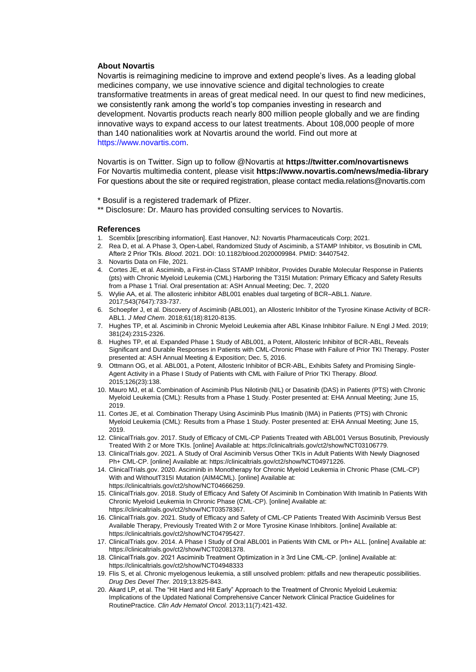# **About Novartis**

Novartis is reimagining medicine to improve and extend people's lives. As a leading global medicines company, we use innovative science and digital technologies to create transformative treatments in areas of great medical need. In our quest to find new medicines, we consistently rank among the world's top companies investing in research and development. Novartis products reach nearly 800 million people globally and we are finding innovative ways to expand access to our latest treatments. About 108,000 people of more than 140 nationalities work at Novartis around the world. Find out more at https://www.novartis.com.

Novartis is on Twitter. Sign up to follow @Novartis at **<https://twitter.com/novartisnews>** For Novartis multimedia content, please visit **https:/[/www.novartis.com/news/media-library](http://www.novartis.com/news/media-library)** For questions about the site or required registration, please contact [media.relations@novartis.com](mailto:media.relations@novartis.com)

\* Bosulif is a registered trademark of Pfizer.

\*\* Disclosure: Dr. Mauro has provided consulting services to Novartis.

#### **References**

- 1. Scemblix [prescribing information]. East Hanover, NJ: Novartis Pharmaceuticals Corp; 2021.
- 2. Rea D, et al. A Phase 3, Open-Label, Randomized Study of Asciminib, a STAMP Inhibitor, vs Bosutinib in CML After≥ 2 Prior TKIs. *Blood*. 2021. DOI: 10.1182/blood.2020009984. PMID: 34407542.
- 3. Novartis Data on File, 2021.
- 4. Cortes JE, et al. Asciminib, a First-in-Class STAMP Inhibitor, Provides Durable Molecular Response in Patients (pts) with Chronic Myeloid Leukemia (CML) Harboring the T315I Mutation: Primary Efficacy and Safety Results from a Phase 1 Trial. Oral presentation at: ASH Annual Meeting; Dec. 7, 2020
- 5. Wylie AA, et al. The allosteric inhibitor ABL001 enables dual targeting of BCR–ABL1. *Nature*. 2017;543(7647):733-737.
- 6. Schoepfer J, et al. Discovery of Asciminib (ABL001), an Allosteric Inhibitor of the Tyrosine Kinase Activity of BCR-ABL1. *J Med Chem*. 2018;61(18):8120-8135.
- 7. Hughes TP, et al. Asciminib in Chronic Myeloid Leukemia after ABL Kinase Inhibitor Failure. N Engl J Med. 2019; 381(24):2315-2326.
- 8. Hughes TP, et al. Expanded Phase 1 Study of ABL001, a Potent, Allosteric Inhibitor of BCR-ABL, Reveals Significant and Durable Responses in Patients with CML-Chronic Phase with Failure of Prior TKI Therapy. Poster presented at: ASH Annual Meeting & Exposition; Dec. 5, 2016.
- 9. Ottmann OG, et al. ABL001, a Potent, Allosteric Inhibitor of BCR-ABL, Exhibits Safety and Promising Single-Agent Activity in a Phase I Study of Patients with CML with Failure of Prior TKI Therapy. *Blood*. 2015;126(23):138.
- 10. Mauro MJ, et al. Combination of Asciminib Plus Nilotinib (NIL) or Dasatinib (DAS) in Patients (PTS) with Chronic Myeloid Leukemia (CML): Results from a Phase 1 Study. Poster presented at: EHA Annual Meeting; June 15, 2019.
- 11. Cortes JE, et al. Combination Therapy Using Asciminib Plus Imatinib (IMA) in Patients (PTS) with Chronic Myeloid Leukemia (CML): Results from a Phase 1 Study. Poster presented at: EHA Annual Meeting; June 15, 2019.
- 12. ClinicalTrials.gov. 2017. Study of Efficacy of CML-CP Patients Treated with ABL001 Versus Bosutinib, Previously Treated With 2 or More TKIs. [online] Available at: https://clinicaltrials.gov/ct2/show/NCT03106779.
- 13. ClinicalTrials.gov. 2021. A Study of Oral Asciminib Versus Other TKIs in Adult Patients With Newly Diagnosed Ph+ CML-CP. [online] Available at: https://clinicaltrials.gov/ct2/show/NCT04971226.
- 14. ClinicalTrials.gov. 2020. Asciminib in Monotherapy for Chronic Myeloid Leukemia in Chronic Phase (CML-CP) With and WithoutT315I Mutation (AIM4CML). [online] Available at: https://clinicaltrials.gov/ct2/show/NCT04666259.
- 15. ClinicalTrials.gov. 2018. Study of Efficacy And Safety Of Asciminib In Combination With Imatinib In Patients With Chronic Myeloid Leukemia In Chronic Phase (CML-CP). [online] Available at: https://clinicaltrials.gov/ct2/show/NCT03578367.
- 16. ClinicalTrials.gov. 2021. Study of Efficacy and Safety of CML-CP Patients Treated With Asciminib Versus Best Available Therapy, Previously Treated With 2 or More Tyrosine Kinase Inhibitors. [online] Available at: https://clinicaltrials.gov/ct2/show/NCT04795427.
- 17. ClinicalTrials.gov. 2014. A Phase I Study of Oral ABL001 in Patients With CML or Ph+ ALL. [online] Available at: [https://clinicaltrials.gov/ct2/show/NCT02081378.](https://clinicaltrials.gov/ct2/show/NCT02081378)
- 18. ClinicalTrials.gov. 2021 Asciminib Treatment Optimization in ≥ 3rd Line CML-CP. [online] Available at: https://clinicaltrials.gov/ct2/show/NCT04948333
- 19. Flis S, et al. Chronic myelogenous leukemia, a still unsolved problem: pitfalls and new therapeutic possibilities. *Drug Des Devel Ther.* 2019;13:825-843.
- 20. Akard LP, et al. The "Hit Hard and Hit Early" Approach to the Treatment of Chronic Myeloid Leukemia: Implications of the Updated National Comprehensive Cancer Network Clinical Practice Guidelines for RoutinePractice. *Clin Adv Hematol Oncol.* 2013;11(7):421-432.